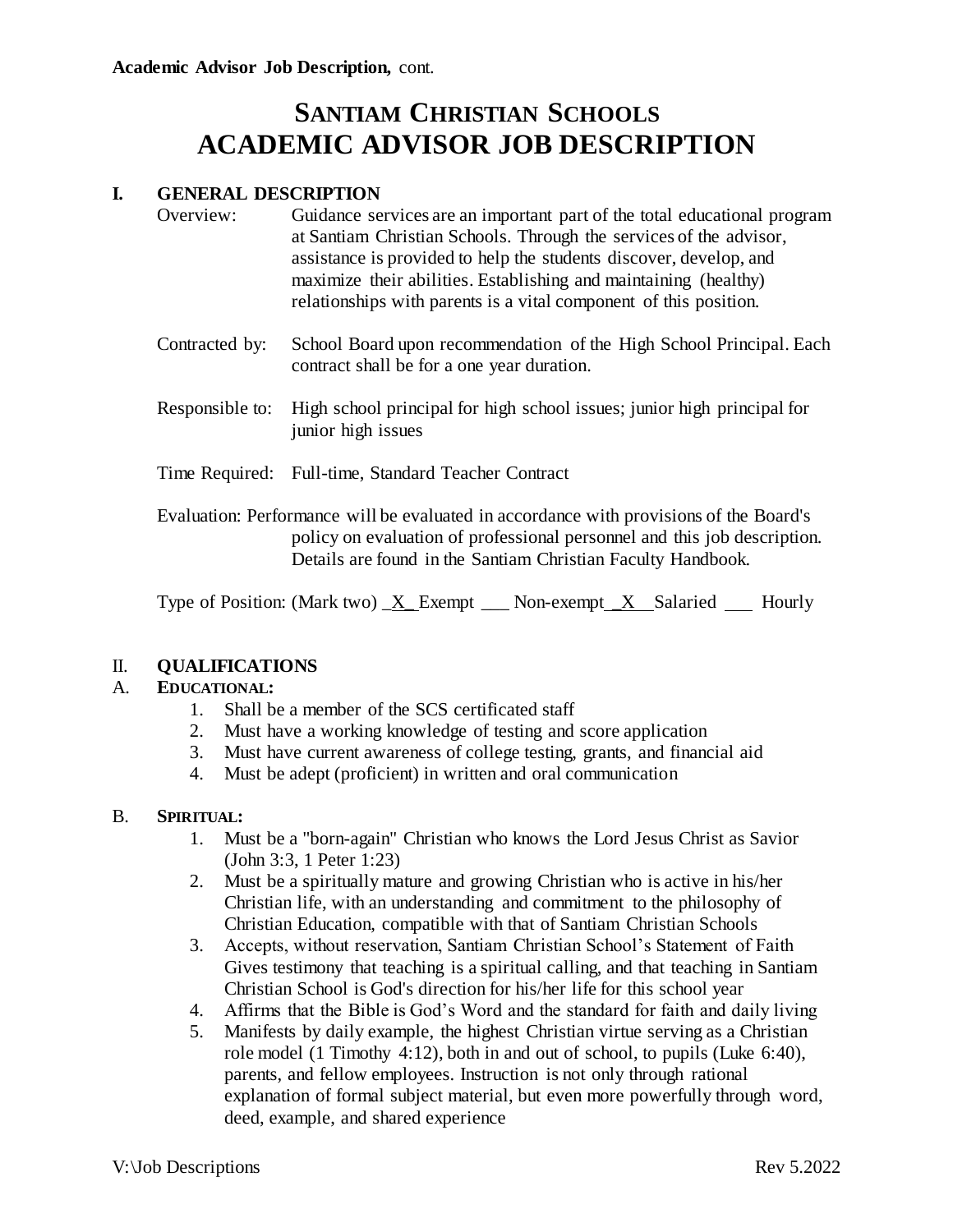# **SANTIAM CHRISTIAN SCHOOLS ACADEMIC ADVISOR JOB DESCRIPTION**

# **I. GENERAL DESCRIPTION**

| Overview: | Guidance services are an important part of the total educational program |
|-----------|--------------------------------------------------------------------------|
|           | at Santiam Christian Schools. Through the services of the advisor,       |
|           | assistance is provided to help the students discover, develop, and       |
|           | maximize their abilities. Establishing and maintaining (healthy)         |
|           | relationships with parents is a vital component of this position.        |

- Contracted by: School Board upon recommendation of the High School Principal. Each contract shall be for a one year duration.
- Responsible to: High school principal for high school issues; junior high principal for junior high issues
- Time Required: Full-time, Standard Teacher Contract

Evaluation: Performance will be evaluated in accordance with provisions of the Board's policy on evaluation of professional personnel and this job description. Details are found in the Santiam Christian Faculty Handbook.

Type of Position: (Mark two)  $X$  Exempt  $\blacksquare$  Non-exempt  $X$  Salaried Hourly

# II. **QUALIFICATIONS**

#### A. **EDUCATIONAL:**

- 1. Shall be a member of the SCS certificated staff
- 2. Must have a working knowledge of testing and score application
- 3. Must have current awareness of college testing, grants, and financial aid
- 4. Must be adept (proficient) in written and oral communication

#### B. **SPIRITUAL:**

- 1. Must be a "born-again" Christian who knows the Lord Jesus Christ as Savior (John 3:3, 1 Peter 1:23)
- 2. Must be a spiritually mature and growing Christian who is active in his/her Christian life, with an understanding and commitment to the philosophy of Christian Education, compatible with that of Santiam Christian Schools
- 3. Accepts, without reservation, Santiam Christian School's Statement of Faith Gives testimony that teaching is a spiritual calling, and that teaching in Santiam Christian School is God's direction for his/her life for this school year
- 4. Affirms that the Bible is God's Word and the standard for faith and daily living
- 5. Manifests by daily example, the highest Christian virtue serving as a Christian role model (1 Timothy 4:12), both in and out of school, to pupils (Luke 6:40), parents, and fellow employees. Instruction is not only through rational explanation of formal subject material, but even more powerfully through word, deed, example, and shared experience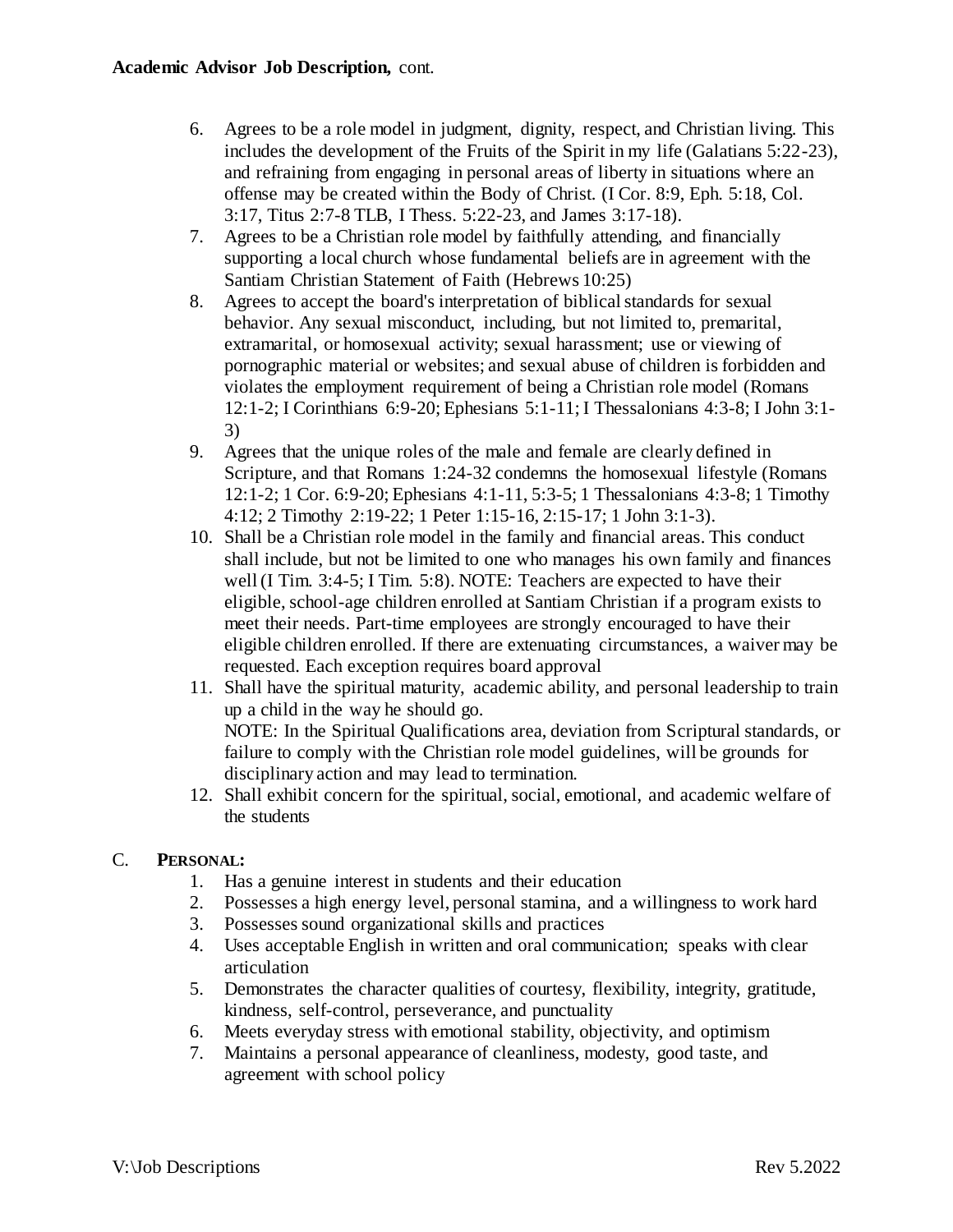- 6. Agrees to be a role model in judgment, dignity, respect, and Christian living. This includes the development of the Fruits of the Spirit in my life (Galatians 5:22-23), and refraining from engaging in personal areas of liberty in situations where an offense may be created within the Body of Christ. (I Cor. 8:9, Eph. 5:18, Col. 3:17, Titus 2:7-8 TLB, I Thess. 5:22-23, and James 3:17-18).
- 7. Agrees to be a Christian role model by faithfully attending, and financially supporting a local church whose fundamental beliefs are in agreement with the Santiam Christian Statement of Faith (Hebrews 10:25)
- 8. Agrees to accept the board's interpretation of biblical standards for sexual behavior. Any sexual misconduct, including, but not limited to, premarital, extramarital, or homosexual activity; sexual harassment; use or viewing of pornographic material or websites; and sexual abuse of children is forbidden and violates the employment requirement of being a Christian role model (Romans 12:1-2; I Corinthians 6:9-20; Ephesians 5:1-11; I Thessalonians 4:3-8; I John 3:1- 3)
- 9. Agrees that the unique roles of the male and female are clearly defined in Scripture, and that Romans 1:24-32 condemns the homosexual lifestyle (Romans 12:1-2; 1 Cor. 6:9-20; Ephesians 4:1-11, 5:3-5; 1 Thessalonians 4:3-8; 1 Timothy 4:12; 2 Timothy 2:19-22; 1 Peter 1:15-16, 2:15-17; 1 John 3:1-3).
- 10. Shall be a Christian role model in the family and financial areas. This conduct shall include, but not be limited to one who manages his own family and finances well (I Tim. 3:4-5; I Tim. 5:8). NOTE: Teachers are expected to have their eligible, school-age children enrolled at Santiam Christian if a program exists to meet their needs. Part-time employees are strongly encouraged to have their eligible children enrolled. If there are extenuating circumstances, a waiver may be requested. Each exception requires board approval
- 11. Shall have the spiritual maturity, academic ability, and personal leadership to train up a child in the way he should go. NOTE: In the Spiritual Qualifications area, deviation from Scriptural standards, or failure to comply with the Christian role model guidelines, will be grounds for disciplinary action and may lead to termination.
- 12. Shall exhibit concern for the spiritual, social, emotional, and academic welfare of the students

# C. **PERSONAL:**

- 1. Has a genuine interest in students and their education
- 2. Possesses a high energy level, personal stamina, and a willingness to work hard
- 3. Possesses sound organizational skills and practices
- 4. Uses acceptable English in written and oral communication; speaks with clear articulation
- 5. Demonstrates the character qualities of courtesy, flexibility, integrity, gratitude, kindness, self-control, perseverance, and punctuality
- 6. Meets everyday stress with emotional stability, objectivity, and optimism
- 7. Maintains a personal appearance of cleanliness, modesty, good taste, and agreement with school policy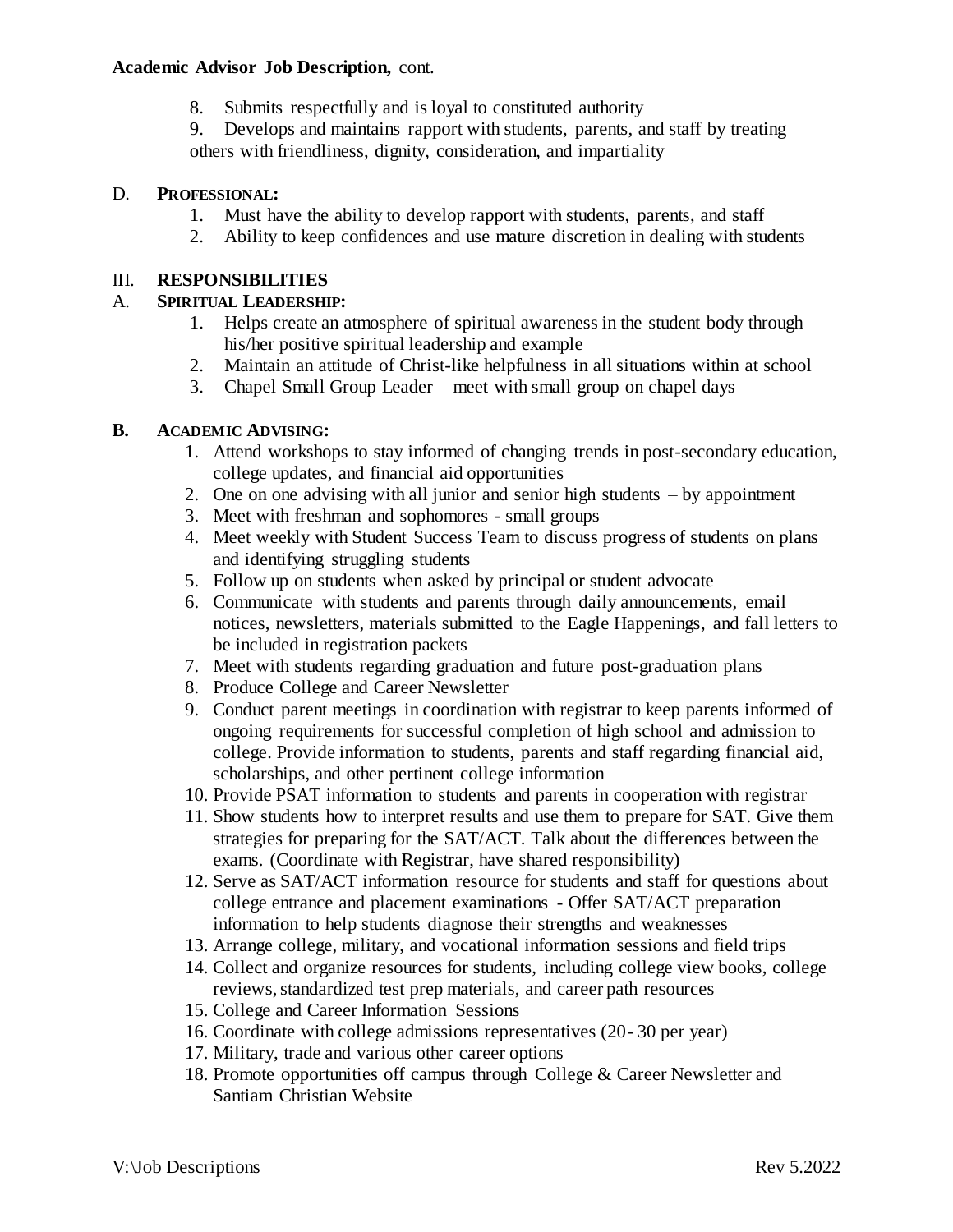# **Academic Advisor Job Description,** cont.

8. Submits respectfully and is loyal to constituted authority

9. Develops and maintains rapport with students, parents, and staff by treating others with friendliness, dignity, consideration, and impartiality

### D. **PROFESSIONAL:**

- 1. Must have the ability to develop rapport with students, parents, and staff
- 2. Ability to keep confidences and use mature discretion in dealing with students

# III. **RESPONSIBILITIES**

## A. **SPIRITUAL LEADERSHIP:**

- 1. Helps create an atmosphere of spiritual awareness in the student body through his/her positive spiritual leadership and example
- 2. Maintain an attitude of Christ-like helpfulness in all situations within at school
- 3. Chapel Small Group Leader meet with small group on chapel days

### **B. ACADEMIC ADVISING:**

- 1. Attend workshops to stay informed of changing trends in post-secondary education, college updates, and financial aid opportunities
- 2. One on one advising with all junior and senior high students by appointment
- 3. Meet with freshman and sophomores small groups
- 4. Meet weekly with Student Success Team to discuss progress of students on plans and identifying struggling students
- 5. Follow up on students when asked by principal or student advocate
- 6. Communicate with students and parents through daily announcements, email notices, newsletters, materials submitted to the Eagle Happenings, and fall letters to be included in registration packets
- 7. Meet with students regarding graduation and future post-graduation plans
- 8. Produce College and Career Newsletter
- 9. Conduct parent meetings in coordination with registrar to keep parents informed of ongoing requirements for successful completion of high school and admission to college. Provide information to students, parents and staff regarding financial aid, scholarships, and other pertinent college information
- 10. Provide PSAT information to students and parents in cooperation with registrar
- 11. Show students how to interpret results and use them to prepare for SAT. Give them strategies for preparing for the SAT/ACT. Talk about the differences between the exams. (Coordinate with Registrar, have shared responsibility)
- 12. Serve as SAT/ACT information resource for students and staff for questions about college entrance and placement examinations - Offer SAT/ACT preparation information to help students diagnose their strengths and weaknesses
- 13. Arrange college, military, and vocational information sessions and field trips
- 14. Collect and organize resources for students, including college view books, college reviews, standardized test prep materials, and career path resources
- 15. College and Career Information Sessions
- 16. Coordinate with college admissions representatives (20- 30 per year)
- 17. Military, trade and various other career options
- 18. Promote opportunities off campus through College & Career Newsletter and Santiam Christian Website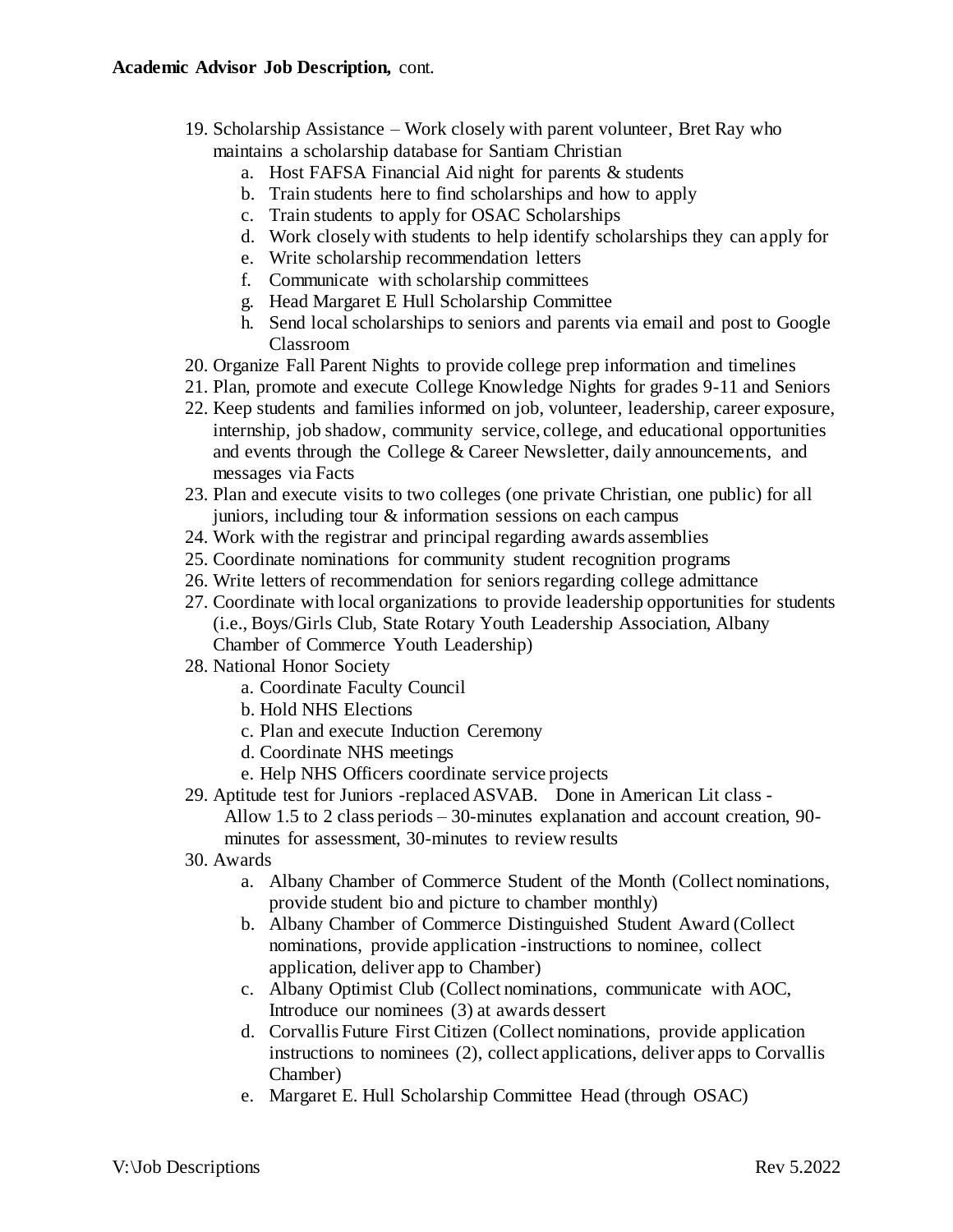## **Academic Advisor Job Description,** cont.

- 19. Scholarship Assistance Work closely with parent volunteer, Bret Ray who maintains a scholarship database for Santiam Christian
	- a. Host FAFSA Financial Aid night for parents & students
	- b. Train students here to find scholarships and how to apply
	- c. Train students to apply for OSAC Scholarships
	- d. Work closely with students to help identify scholarships they can apply for
	- e. Write scholarship recommendation letters
	- f. Communicate with scholarship committees
	- g. Head Margaret E Hull Scholarship Committee
	- h. Send local scholarships to seniors and parents via email and post to Google Classroom
- 20. Organize Fall Parent Nights to provide college prep information and timelines
- 21. Plan, promote and execute College Knowledge Nights for grades 9-11 and Seniors
- 22. Keep students and families informed on job, volunteer, leadership, career exposure, internship, job shadow, community service, college, and educational opportunities and events through the College & Career Newsletter, daily announcements, and messages via Facts
- 23. Plan and execute visits to two colleges (one private Christian, one public) for all juniors, including tour & information sessions on each campus
- 24. Work with the registrar and principal regarding awards assemblies
- 25. Coordinate nominations for community student recognition programs
- 26. Write letters of recommendation for seniors regarding college admittance
- 27. Coordinate with local organizations to provide leadership opportunities for students (i.e., Boys/Girls Club, State Rotary Youth Leadership Association, Albany Chamber of Commerce Youth Leadership)
- 28. National Honor Society
	- a. Coordinate Faculty Council
	- b. Hold NHS Elections
	- c. Plan and execute Induction Ceremony
	- d. Coordinate NHS meetings
	- e. Help NHS Officers coordinate service projects
- 29. Aptitude test for Juniors -replaced ASVAB. Done in American Lit class Allow 1.5 to 2 class periods – 30-minutes explanation and account creation, 90 minutes for assessment, 30-minutes to review results
- 30. Awards
	- a. Albany Chamber of Commerce Student of the Month (Collect nominations, provide student bio and picture to chamber monthly)
	- b. Albany Chamber of Commerce Distinguished Student Award (Collect nominations, provide application -instructions to nominee, collect application, deliver app to Chamber)
	- c. Albany Optimist Club (Collect nominations, communicate with AOC, Introduce our nominees (3) at awards dessert
	- d. Corvallis Future First Citizen (Collect nominations, provide application instructions to nominees (2), collect applications, deliver apps to Corvallis Chamber)
	- e. Margaret E. Hull Scholarship Committee Head (through OSAC)